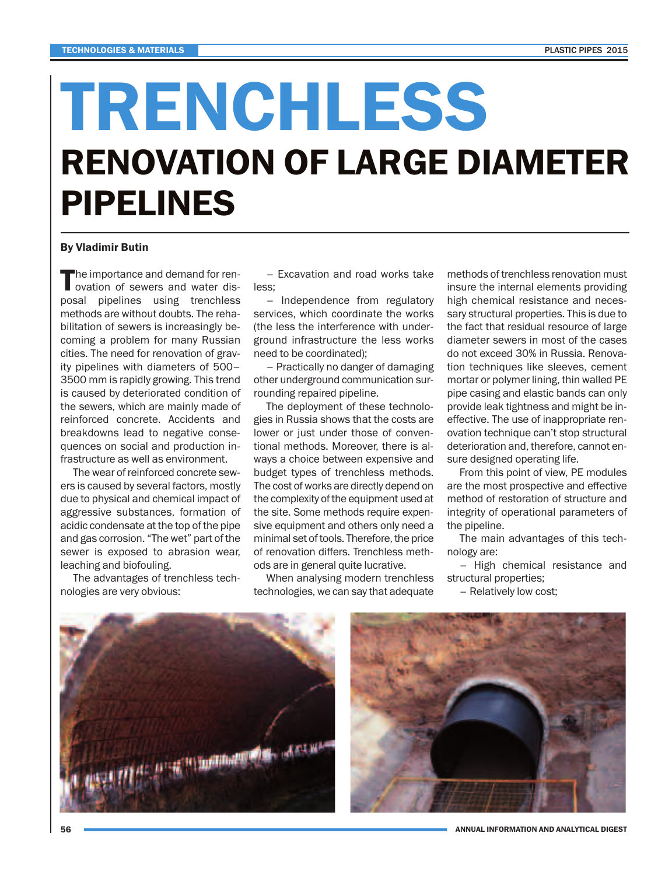## **TRENCHLESS RENOVATION OF LARGE DIAMETER PIPELINES**

## **By Vladimir Butin**

The importance and demand for ren-<br>ovation of sewers and water disposal pipelines using trenchless methods are without doubts. The rehabilitation of sewers is increasingly becoming a problem for many Russian cities. The need for renovation of gravity pipelines with diameters of 500– 3500 mm is rapidly growing. This trend is caused by deteriorated condition of the sewers, which are mainly made of reinforced concrete. Accidents and breakdowns lead to negative consequences on social and production infrastructure as well as environment.

The wear of reinforced concrete sewers is caused by several factors, mostly due to physical and chemical impact of aggressive substances, formation of acidic condensate at the top of the pipe and gas corrosion. "The wet" part of the sewer is exposed to abrasion wear, leaching and biofouling.

The advantages of trenchless technologies are very obvious:

– Excavation and road works take less;

– Independence from regulatory services, which coordinate the works (the less the interference with underground infrastructure the less works need to be coordinated);

– Practically no danger of damaging other underground communication surrounding repaired pipeline.

The deployment of these technologies in Russia shows that the costs are lower or just under those of conventional methods. Moreover, there is always a choice between expensive and budget types of trenchless methods. The cost of works are directly depend on the complexity of the equipment used at the site. Some methods require expensive equipment and others only need a minimal set of tools. Therefore, the price of renovation differs. Trenchless methods are in general quite lucrative.

When analysing modern trenchless technologies, we can say that adequate

methods of trenchless renovation must insure the internal elements providing high chemical resistance and necessary structural properties. This is due to the fact that residual resource of large diameter sewers in most of the cases do not exceed 30% in Russia. Renovation techniques like sleeves, cement mortar or polymer lining, thin walled PE pipe casing and elastic bands can only provide leak tightness and might be ineffective. The use of inappropriate renovation technique can't stop structural deterioration and, therefore, cannot ensure designed operating life.

From this point of view, PE modules are the most prospective and effective method of restoration of structure and integrity of operational parameters of the pipeline.

The main advantages of this technology are:

– High chemical resistance and structural properties;

– Relatively low cost;





**ANNUAL INFORMATION AND ANALYTICAL DIGEST**